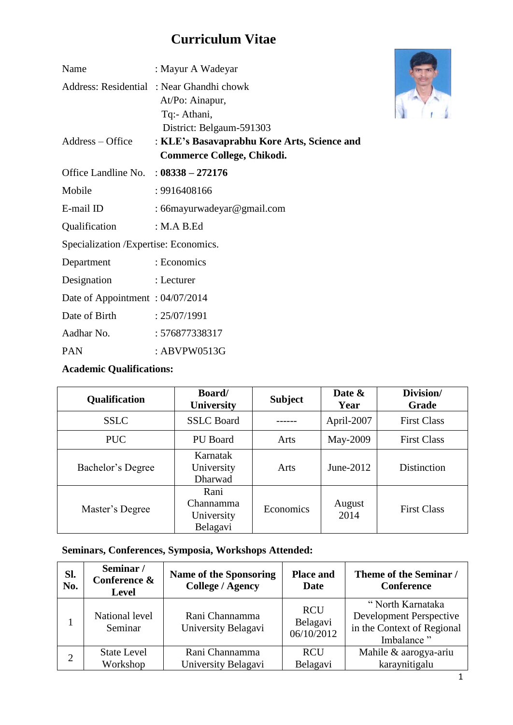# **Curriculum Vitae**

| Name                                   | : Mayur A Wadeyar                                                                                       |  |
|----------------------------------------|---------------------------------------------------------------------------------------------------------|--|
|                                        | Address: Residential: Near Ghandhi chowk<br>At/Po: Ainapur,<br>Tq:- Athani,<br>District: Belgaum-591303 |  |
| Address – Office                       | : KLE's Basavaprabhu Kore Arts, Science and<br>Commerce College, Chikodi.                               |  |
| Office Landline No. : 08338 - 272176   |                                                                                                         |  |
| Mobile                                 | : 9916408166                                                                                            |  |
| E-mail ID                              | : 66 mayurwadeyar@gmail.com                                                                             |  |
| Qualification                          | : M.A B.Ed                                                                                              |  |
| Specialization / Expertise: Economics. |                                                                                                         |  |
| Department                             | : Economics                                                                                             |  |
| Designation                            | : Lecturer                                                                                              |  |
| Date of Appointment: 04/07/2014        |                                                                                                         |  |
| Date of Birth                          | : 25/07/1991                                                                                            |  |
| Aadhar No.                             | : 576877338317                                                                                          |  |
| <b>PAN</b>                             | : ABVPW0513G                                                                                            |  |

## **Academic Qualifications:**

| Qualification     | Board/<br><b>University</b>                 | <b>Subject</b> | Date &<br>Year | Division/<br>Grade |
|-------------------|---------------------------------------------|----------------|----------------|--------------------|
| <b>SSLC</b>       | <b>SSLC</b> Board                           |                | April-2007     | <b>First Class</b> |
| PUC.              | PU Board<br>Arts                            |                | May-2009       | <b>First Class</b> |
| Bachelor's Degree | Karnatak<br>University<br>Dharwad           | Arts           | June- $2012$   | Distinction        |
| Master's Degree   | Rani<br>Channamma<br>University<br>Belagavi | Economics      | August<br>2014 | <b>First Class</b> |

## **Seminars, Conferences, Symposia, Workshops Attended:**

| Sl.<br>No. | Seminar /<br>Conference &<br><b>Level</b> | <b>Name of the Sponsoring</b><br><b>College / Agency</b> | <b>Place and</b><br><b>Date</b>      | Theme of the Seminar /<br>Conference                                                           |
|------------|-------------------------------------------|----------------------------------------------------------|--------------------------------------|------------------------------------------------------------------------------------------------|
|            | National level<br>Seminar                 | Rani Channamma<br>University Belagavi                    | <b>RCU</b><br>Belagavi<br>06/10/2012 | "North Karnataka<br><b>Development Perspective</b><br>in the Context of Regional<br>Imbalance" |
|            | <b>State Level</b><br>Workshop            | Rani Channamma<br>University Belagavi                    | <b>RCU</b><br>Belagavi               | Mahile & aarogya-ariu<br>karaynitigalu                                                         |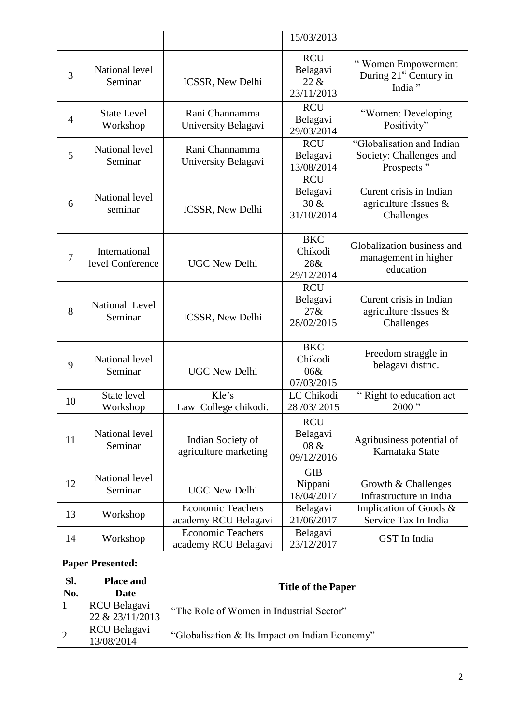|    |                                   |                                                  | 15/03/2013                                   |                                                                     |
|----|-----------------------------------|--------------------------------------------------|----------------------------------------------|---------------------------------------------------------------------|
| 3  | National level<br>Seminar         | <b>ICSSR, New Delhi</b>                          | <b>RCU</b><br>Belagavi<br>22 &<br>23/11/2013 | "Women Empowerment<br>During 21 <sup>st</sup> Century in<br>India " |
| 4  | <b>State Level</b><br>Workshop    | Rani Channamma<br>University Belagavi            | <b>RCU</b><br>Belagavi<br>29/03/2014         | "Women: Developing<br>Positivity"                                   |
| 5  | National level<br>Seminar         | Rani Channamma<br>University Belagavi            | <b>RCU</b><br>Belagavi<br>13/08/2014         | "Globalisation and Indian<br>Society: Challenges and<br>Prospects"  |
| 6  | National level<br>seminar         | <b>ICSSR, New Delhi</b>                          | <b>RCU</b><br>Belagavi<br>30 &<br>31/10/2014 | Curent crisis in Indian<br>agriculture : Issues $\&$<br>Challenges  |
| 7  | International<br>level Conference | <b>UGC New Delhi</b>                             | <b>BKC</b><br>Chikodi<br>28&<br>29/12/2014   | Globalization business and<br>management in higher<br>education     |
| 8  | National Level<br>Seminar         | <b>ICSSR, New Delhi</b>                          | <b>RCU</b><br>Belagavi<br>27&<br>28/02/2015  | Curent crisis in Indian<br>agriculture : Issues &<br>Challenges     |
| 9  | National level<br>Seminar         | <b>UGC New Delhi</b>                             | <b>BKC</b><br>Chikodi<br>06&<br>07/03/2015   | Freedom straggle in<br>belagavi distric.                            |
| 10 | State level<br>Workshop           | Kle's<br>Law College chikodi.                    | LC Chikodi<br>28 / 03 / 2015                 | "Right to education act<br>$2000$ "                                 |
| 11 | National level<br>Seminar         | Indian Society of<br>agriculture marketing       | <b>RCU</b><br>Belagavi<br>08 &<br>09/12/2016 | Agribusiness potential of<br>Karnataka State                        |
| 12 | National level<br>Seminar         | <b>UGC New Delhi</b>                             | <b>GIB</b><br>Nippani<br>18/04/2017          | Growth & Challenges<br>Infrastructure in India                      |
| 13 | Workshop                          | <b>Economic Teachers</b><br>academy RCU Belagavi | Belagavi<br>21/06/2017                       | Implication of Goods &<br>Service Tax In India                      |
| 14 | Workshop                          | <b>Economic Teachers</b><br>academy RCU Belagavi | Belagavi<br>23/12/2017                       | GST In India                                                        |

## **Paper Presented:**

| SI.<br>No. | <b>Place and</b><br>Date          | <b>Title of the Paper</b>                      |
|------------|-----------------------------------|------------------------------------------------|
|            | RCU Belagavi<br>22 & 23/11/2013   | "The Role of Women in Industrial Sector"       |
| $\sqrt{2}$ | <b>RCU Belagavi</b><br>13/08/2014 | "Globalisation & Its Impact on Indian Economy" |